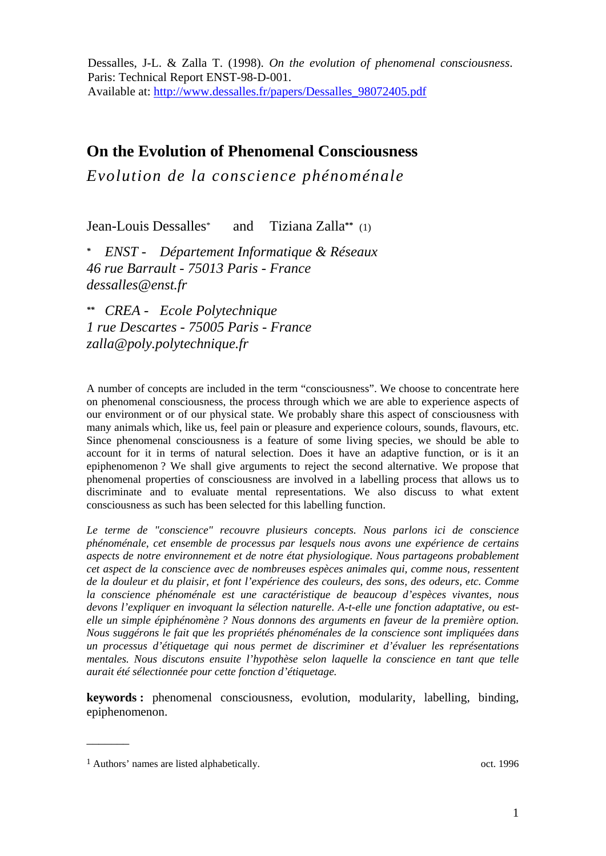Dessalles, J-L. & Zalla T. (1998). *On the evolution of phenomenal consciousness*. Paris: Technical Report ENST-98-D-001. Available at: http://www.dessalles.fr/papers/Dessalles\_98072405.pdf

# **On the Evolution of Phenomenal Consciousness**

*Evolution de la conscience phénoménale* 

Jean-Louis Dessalles\* and Tiziana Zalla**\*\*** (1)

*\* ENST - Département Informatique & Réseaux 46 rue Barrault - 75013 Paris - France dessalles@enst.fr* 

*\*\* CREA - Ecole Polytechnique 1 rue Descartes - 75005 Paris - France zalla@poly.polytechnique.fr* 

A number of concepts are included in the term "consciousness". We choose to concentrate here on phenomenal consciousness, the process through which we are able to experience aspects of our environment or of our physical state. We probably share this aspect of consciousness with many animals which, like us, feel pain or pleasure and experience colours, sounds, flavours, etc. Since phenomenal consciousness is a feature of some living species, we should be able to account for it in terms of natural selection. Does it have an adaptive function, or is it an epiphenomenon ? We shall give arguments to reject the second alternative. We propose that phenomenal properties of consciousness are involved in a labelling process that allows us to discriminate and to evaluate mental representations. We also discuss to what extent consciousness as such has been selected for this labelling function.

*Le terme de "conscience" recouvre plusieurs concepts. Nous parlons ici de conscience phénoménale, cet ensemble de processus par lesquels nous avons une expérience de certains aspects de notre environnement et de notre état physiologique. Nous partageons probablement cet aspect de la conscience avec de nombreuses espèces animales qui, comme nous, ressentent de la douleur et du plaisir, et font l'expérience des couleurs, des sons, des odeurs, etc. Comme la conscience phénoménale est une caractéristique de beaucoup d'espèces vivantes, nous devons l'expliquer en invoquant la sélection naturelle. A-t-elle une fonction adaptative, ou estelle un simple épiphénomène ? Nous donnons des arguments en faveur de la première option. Nous suggérons le fait que les propriétés phénoménales de la conscience sont impliquées dans un processus d'étiquetage qui nous permet de discriminer et d'évaluer les représentations mentales. Nous discutons ensuite l'hypothèse selon laquelle la conscience en tant que telle aurait été sélectionnée pour cette fonction d'étiquetage.* 

**keywords :** phenomenal consciousness, evolution, modularity, labelling, binding, epiphenomenon.

 $\overline{\phantom{a}}$ 

<sup>&</sup>lt;sup>1</sup> Authors' names are listed alphabetically.  $\qquad \qquad$  0ct. 1996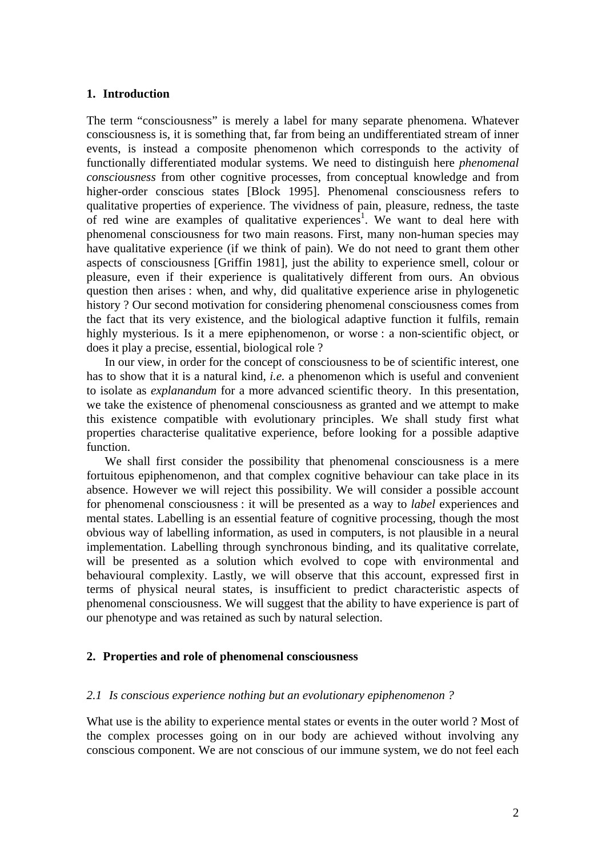#### **1. Introduction**

The term "consciousness" is merely a label for many separate phenomena. Whatever consciousness is, it is something that, far from being an undifferentiated stream of inner events, is instead a composite phenomenon which corresponds to the activity of functionally differentiated modular systems. We need to distinguish here *phenomenal consciousness* from other cognitive processes, from conceptual knowledge and from higher-order conscious states [Block 1995]. Phenomenal consciousness refers to qualitative properties of experience. The vividness of pain, pleasure, redness, the taste of red wine are examples of qualitative experiences<sup>1</sup>. We want to deal here with phenomenal consciousness for two main reasons. First, many non-human species may have qualitative experience (if we think of pain). We do not need to grant them other aspects of consciousness [Griffin 1981], just the ability to experience smell, colour or pleasure, even if their experience is qualitatively different from ours. An obvious question then arises : when, and why, did qualitative experience arise in phylogenetic history ? Our second motivation for considering phenomenal consciousness comes from the fact that its very existence, and the biological adaptive function it fulfils, remain highly mysterious. Is it a mere epiphenomenon, or worse : a non-scientific object, or does it play a precise, essential, biological role ?

 In our view, in order for the concept of consciousness to be of scientific interest, one has to show that it is a natural kind, *i.e.* a phenomenon which is useful and convenient to isolate as *explanandum* for a more advanced scientific theory. In this presentation, we take the existence of phenomenal consciousness as granted and we attempt to make this existence compatible with evolutionary principles. We shall study first what properties characterise qualitative experience, before looking for a possible adaptive function.

 We shall first consider the possibility that phenomenal consciousness is a mere fortuitous epiphenomenon, and that complex cognitive behaviour can take place in its absence. However we will reject this possibility. We will consider a possible account for phenomenal consciousness : it will be presented as a way to *label* experiences and mental states. Labelling is an essential feature of cognitive processing, though the most obvious way of labelling information, as used in computers, is not plausible in a neural implementation. Labelling through synchronous binding, and its qualitative correlate, will be presented as a solution which evolved to cope with environmental and behavioural complexity. Lastly, we will observe that this account, expressed first in terms of physical neural states, is insufficient to predict characteristic aspects of phenomenal consciousness. We will suggest that the ability to have experience is part of our phenotype and was retained as such by natural selection.

# **2. Properties and role of phenomenal consciousness**

# *2.1 Is conscious experience nothing but an evolutionary epiphenomenon ?*

What use is the ability to experience mental states or events in the outer world ? Most of the complex processes going on in our body are achieved without involving any conscious component. We are not conscious of our immune system, we do not feel each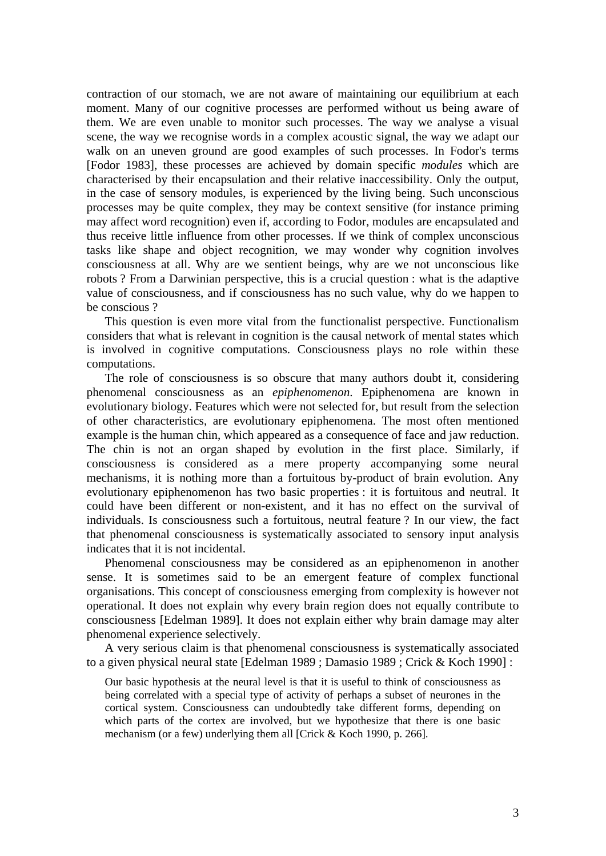contraction of our stomach, we are not aware of maintaining our equilibrium at each moment. Many of our cognitive processes are performed without us being aware of them. We are even unable to monitor such processes. The way we analyse a visual scene, the way we recognise words in a complex acoustic signal, the way we adapt our walk on an uneven ground are good examples of such processes. In Fodor's terms [Fodor 1983], these processes are achieved by domain specific *modules* which are characterised by their encapsulation and their relative inaccessibility. Only the output, in the case of sensory modules, is experienced by the living being. Such unconscious processes may be quite complex, they may be context sensitive (for instance priming may affect word recognition) even if, according to Fodor, modules are encapsulated and thus receive little influence from other processes. If we think of complex unconscious tasks like shape and object recognition, we may wonder why cognition involves consciousness at all. Why are we sentient beings, why are we not unconscious like robots ? From a Darwinian perspective, this is a crucial question : what is the adaptive value of consciousness, and if consciousness has no such value, why do we happen to be conscious ?

 This question is even more vital from the functionalist perspective. Functionalism considers that what is relevant in cognition is the causal network of mental states which is involved in cognitive computations. Consciousness plays no role within these computations.

 The role of consciousness is so obscure that many authors doubt it, considering phenomenal consciousness as an *epiphenomenon*. Epiphenomena are known in evolutionary biology. Features which were not selected for, but result from the selection of other characteristics, are evolutionary epiphenomena. The most often mentioned example is the human chin, which appeared as a consequence of face and jaw reduction. The chin is not an organ shaped by evolution in the first place. Similarly, if consciousness is considered as a mere property accompanying some neural mechanisms, it is nothing more than a fortuitous by-product of brain evolution. Any evolutionary epiphenomenon has two basic properties : it is fortuitous and neutral. It could have been different or non-existent, and it has no effect on the survival of individuals. Is consciousness such a fortuitous, neutral feature ? In our view, the fact that phenomenal consciousness is systematically associated to sensory input analysis indicates that it is not incidental.

 Phenomenal consciousness may be considered as an epiphenomenon in another sense. It is sometimes said to be an emergent feature of complex functional organisations. This concept of consciousness emerging from complexity is however not operational. It does not explain why every brain region does not equally contribute to consciousness [Edelman 1989]. It does not explain either why brain damage may alter phenomenal experience selectively.

 A very serious claim is that phenomenal consciousness is systematically associated to a given physical neural state [Edelman 1989 ; Damasio 1989 ; Crick & Koch 1990] :

Our basic hypothesis at the neural level is that it is useful to think of consciousness as being correlated with a special type of activity of perhaps a subset of neurones in the cortical system. Consciousness can undoubtedly take different forms, depending on which parts of the cortex are involved, but we hypothesize that there is one basic mechanism (or a few) underlying them all [Crick & Koch 1990, p. 266].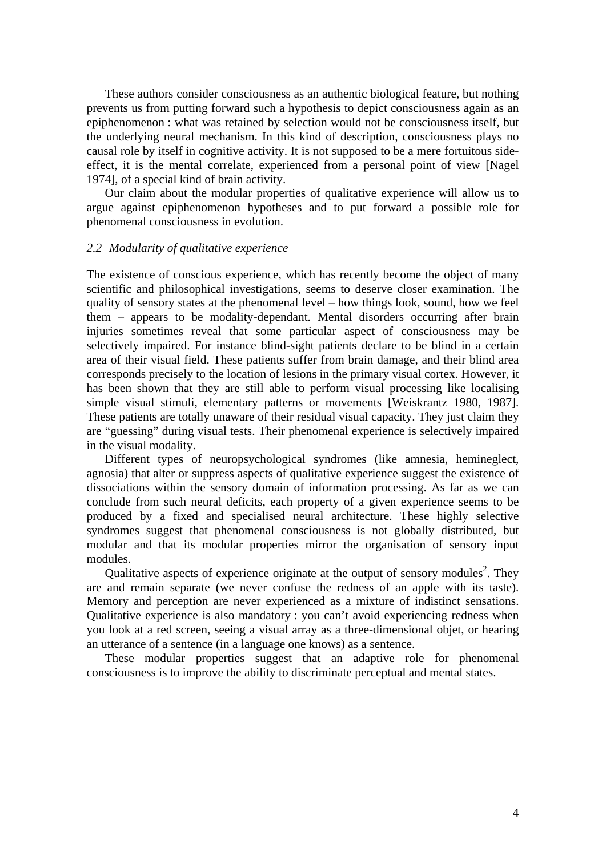These authors consider consciousness as an authentic biological feature, but nothing prevents us from putting forward such a hypothesis to depict consciousness again as an epiphenomenon : what was retained by selection would not be consciousness itself, but the underlying neural mechanism. In this kind of description, consciousness plays no causal role by itself in cognitive activity. It is not supposed to be a mere fortuitous sideeffect, it is the mental correlate, experienced from a personal point of view [Nagel 1974], of a special kind of brain activity.

 Our claim about the modular properties of qualitative experience will allow us to argue against epiphenomenon hypotheses and to put forward a possible role for phenomenal consciousness in evolution.

#### *2.2 Modularity of qualitative experience*

The existence of conscious experience, which has recently become the object of many scientific and philosophical investigations, seems to deserve closer examination. The quality of sensory states at the phenomenal level – how things look, sound, how we feel them – appears to be modality-dependant. Mental disorders occurring after brain injuries sometimes reveal that some particular aspect of consciousness may be selectively impaired. For instance blind-sight patients declare to be blind in a certain area of their visual field. These patients suffer from brain damage, and their blind area corresponds precisely to the location of lesions in the primary visual cortex. However, it has been shown that they are still able to perform visual processing like localising simple visual stimuli, elementary patterns or movements [Weiskrantz 1980, 1987]. These patients are totally unaware of their residual visual capacity. They just claim they are "guessing" during visual tests. Their phenomenal experience is selectively impaired in the visual modality.

 Different types of neuropsychological syndromes (like amnesia, hemineglect, agnosia) that alter or suppress aspects of qualitative experience suggest the existence of dissociations within the sensory domain of information processing. As far as we can conclude from such neural deficits, each property of a given experience seems to be produced by a fixed and specialised neural architecture. These highly selective syndromes suggest that phenomenal consciousness is not globally distributed, but modular and that its modular properties mirror the organisation of sensory input modules.

Qualitative aspects of experience originate at the output of sensory modules<sup>2</sup>. They are and remain separate (we never confuse the redness of an apple with its taste). Memory and perception are never experienced as a mixture of indistinct sensations. Qualitative experience is also mandatory : you can't avoid experiencing redness when you look at a red screen, seeing a visual array as a three-dimensional objet, or hearing an utterance of a sentence (in a language one knows) as a sentence.

 These modular properties suggest that an adaptive role for phenomenal consciousness is to improve the ability to discriminate perceptual and mental states.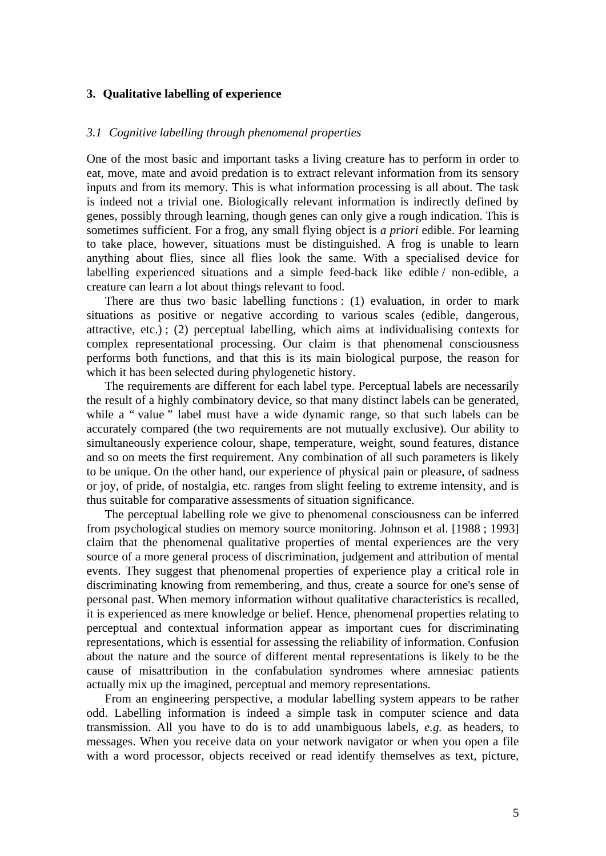## **3. Qualitative labelling of experience**

### *3.1 Cognitive labelling through phenomenal properties*

One of the most basic and important tasks a living creature has to perform in order to eat, move, mate and avoid predation is to extract relevant information from its sensory inputs and from its memory. This is what information processing is all about. The task is indeed not a trivial one. Biologically relevant information is indirectly defined by genes, possibly through learning, though genes can only give a rough indication. This is sometimes sufficient. For a frog, any small flying object is *a priori* edible. For learning to take place, however, situations must be distinguished. A frog is unable to learn anything about flies, since all flies look the same. With a specialised device for labelling experienced situations and a simple feed-back like edible / non-edible, a creature can learn a lot about things relevant to food.

 There are thus two basic labelling functions : (1) evaluation, in order to mark situations as positive or negative according to various scales (edible, dangerous, attractive, etc.) ; (2) perceptual labelling, which aims at individualising contexts for complex representational processing. Our claim is that phenomenal consciousness performs both functions, and that this is its main biological purpose, the reason for which it has been selected during phylogenetic history.

 The requirements are different for each label type. Perceptual labels are necessarily the result of a highly combinatory device, so that many distinct labels can be generated, while a "value" label must have a wide dynamic range, so that such labels can be accurately compared (the two requirements are not mutually exclusive). Our ability to simultaneously experience colour, shape, temperature, weight, sound features, distance and so on meets the first requirement. Any combination of all such parameters is likely to be unique. On the other hand, our experience of physical pain or pleasure, of sadness or joy, of pride, of nostalgia, etc. ranges from slight feeling to extreme intensity, and is thus suitable for comparative assessments of situation significance.

 The perceptual labelling role we give to phenomenal consciousness can be inferred from psychological studies on memory source monitoring. Johnson et al. [1988 ; 1993] claim that the phenomenal qualitative properties of mental experiences are the very source of a more general process of discrimination, judgement and attribution of mental events. They suggest that phenomenal properties of experience play a critical role in discriminating knowing from remembering, and thus, create a source for one's sense of personal past. When memory information without qualitative characteristics is recalled, it is experienced as mere knowledge or belief. Hence, phenomenal properties relating to perceptual and contextual information appear as important cues for discriminating representations, which is essential for assessing the reliability of information. Confusion about the nature and the source of different mental representations is likely to be the cause of misattribution in the confabulation syndromes where amnesiac patients actually mix up the imagined, perceptual and memory representations.

 From an engineering perspective, a modular labelling system appears to be rather odd. Labelling information is indeed a simple task in computer science and data transmission. All you have to do is to add unambiguous labels, *e.g.* as headers, to messages. When you receive data on your network navigator or when you open a file with a word processor, objects received or read identify themselves as text, picture,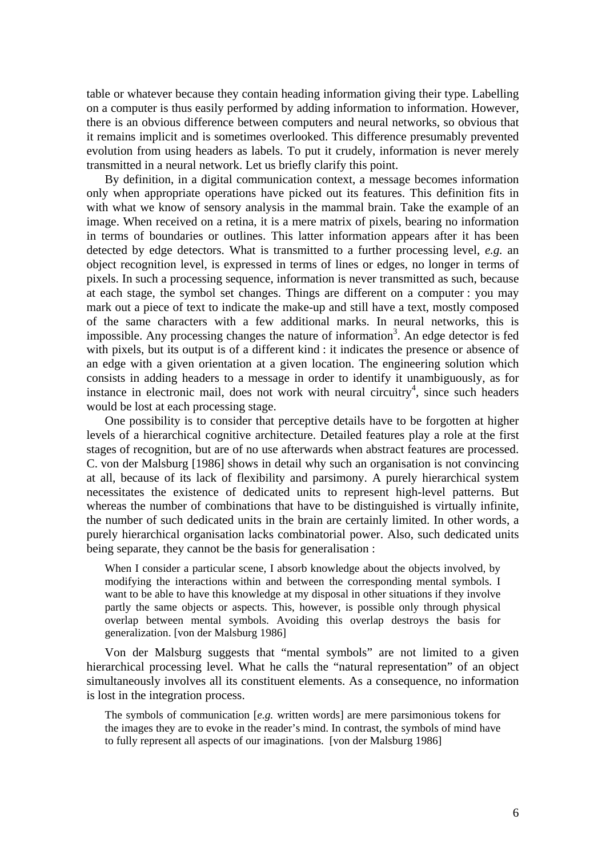table or whatever because they contain heading information giving their type. Labelling on a computer is thus easily performed by adding information to information. However, there is an obvious difference between computers and neural networks, so obvious that it remains implicit and is sometimes overlooked. This difference presumably prevented evolution from using headers as labels. To put it crudely, information is never merely transmitted in a neural network. Let us briefly clarify this point.

 By definition, in a digital communication context, a message becomes information only when appropriate operations have picked out its features. This definition fits in with what we know of sensory analysis in the mammal brain. Take the example of an image. When received on a retina, it is a mere matrix of pixels, bearing no information in terms of boundaries or outlines. This latter information appears after it has been detected by edge detectors. What is transmitted to a further processing level, *e.g.* an object recognition level, is expressed in terms of lines or edges, no longer in terms of pixels. In such a processing sequence, information is never transmitted as such, because at each stage, the symbol set changes. Things are different on a computer : you may mark out a piece of text to indicate the make-up and still have a text, mostly composed of the same characters with a few additional marks. In neural networks, this is impossible. Any processing changes the nature of information<sup>3</sup>. An edge detector is fed with pixels, but its output is of a different kind : it indicates the presence or absence of an edge with a given orientation at a given location. The engineering solution which consists in adding headers to a message in order to identify it unambiguously, as for instance in electronic mail, does not work with neural circuitry<sup>4</sup>, since such headers would be lost at each processing stage.

 One possibility is to consider that perceptive details have to be forgotten at higher levels of a hierarchical cognitive architecture. Detailed features play a role at the first stages of recognition, but are of no use afterwards when abstract features are processed. C. von der Malsburg [1986] shows in detail why such an organisation is not convincing at all, because of its lack of flexibility and parsimony. A purely hierarchical system necessitates the existence of dedicated units to represent high-level patterns. But whereas the number of combinations that have to be distinguished is virtually infinite, the number of such dedicated units in the brain are certainly limited. In other words, a purely hierarchical organisation lacks combinatorial power. Also, such dedicated units being separate, they cannot be the basis for generalisation :

When I consider a particular scene, I absorb knowledge about the objects involved, by modifying the interactions within and between the corresponding mental symbols. I want to be able to have this knowledge at my disposal in other situations if they involve partly the same objects or aspects. This, however, is possible only through physical overlap between mental symbols. Avoiding this overlap destroys the basis for generalization. [von der Malsburg 1986]

 Von der Malsburg suggests that "mental symbols" are not limited to a given hierarchical processing level. What he calls the "natural representation" of an object simultaneously involves all its constituent elements. As a consequence, no information is lost in the integration process.

The symbols of communication [*e.g.* written words] are mere parsimonious tokens for the images they are to evoke in the reader's mind. In contrast, the symbols of mind have to fully represent all aspects of our imaginations. [von der Malsburg 1986]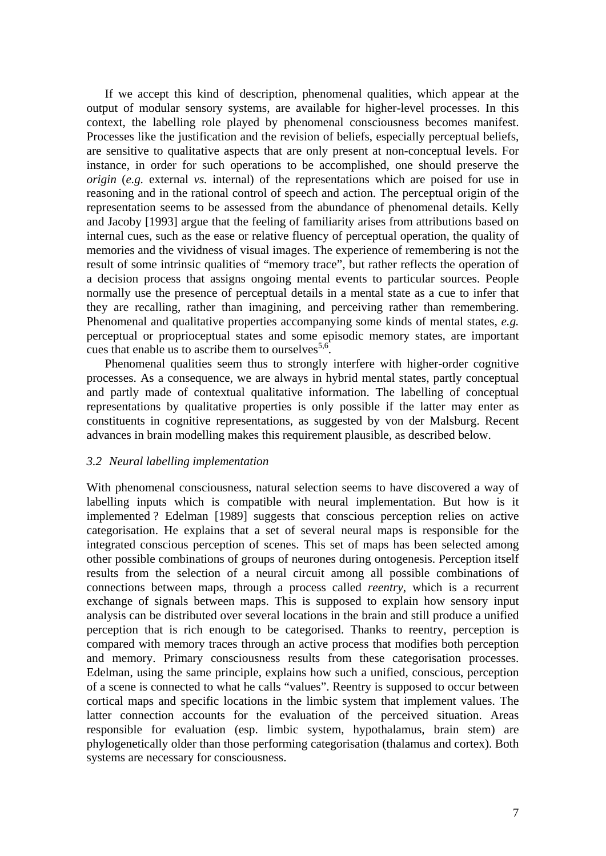If we accept this kind of description, phenomenal qualities, which appear at the output of modular sensory systems, are available for higher-level processes. In this context, the labelling role played by phenomenal consciousness becomes manifest. Processes like the justification and the revision of beliefs, especially perceptual beliefs, are sensitive to qualitative aspects that are only present at non-conceptual levels. For instance, in order for such operations to be accomplished, one should preserve the *origin* (*e.g.* external *vs.* internal) of the representations which are poised for use in reasoning and in the rational control of speech and action. The perceptual origin of the representation seems to be assessed from the abundance of phenomenal details. Kelly and Jacoby [1993] argue that the feeling of familiarity arises from attributions based on internal cues, such as the ease or relative fluency of perceptual operation, the quality of memories and the vividness of visual images. The experience of remembering is not the result of some intrinsic qualities of "memory trace", but rather reflects the operation of a decision process that assigns ongoing mental events to particular sources. People normally use the presence of perceptual details in a mental state as a cue to infer that they are recalling, rather than imagining, and perceiving rather than remembering. Phenomenal and qualitative properties accompanying some kinds of mental states, *e.g.*  perceptual or proprioceptual states and some episodic memory states, are important cues that enable us to ascribe them to ourselves<sup>5,6</sup>.

 Phenomenal qualities seem thus to strongly interfere with higher-order cognitive processes. As a consequence, we are always in hybrid mental states, partly conceptual and partly made of contextual qualitative information. The labelling of conceptual representations by qualitative properties is only possible if the latter may enter as constituents in cognitive representations, as suggested by von der Malsburg. Recent advances in brain modelling makes this requirement plausible, as described below.

## *3.2 Neural labelling implementation*

With phenomenal consciousness, natural selection seems to have discovered a way of labelling inputs which is compatible with neural implementation. But how is it implemented ? Edelman [1989] suggests that conscious perception relies on active categorisation. He explains that a set of several neural maps is responsible for the integrated conscious perception of scenes. This set of maps has been selected among other possible combinations of groups of neurones during ontogenesis. Perception itself results from the selection of a neural circuit among all possible combinations of connections between maps, through a process called *reentry*, which is a recurrent exchange of signals between maps. This is supposed to explain how sensory input analysis can be distributed over several locations in the brain and still produce a unified perception that is rich enough to be categorised. Thanks to reentry, perception is compared with memory traces through an active process that modifies both perception and memory. Primary consciousness results from these categorisation processes. Edelman, using the same principle, explains how such a unified, conscious, perception of a scene is connected to what he calls "values". Reentry is supposed to occur between cortical maps and specific locations in the limbic system that implement values. The latter connection accounts for the evaluation of the perceived situation. Areas responsible for evaluation (esp. limbic system, hypothalamus, brain stem) are phylogenetically older than those performing categorisation (thalamus and cortex). Both systems are necessary for consciousness.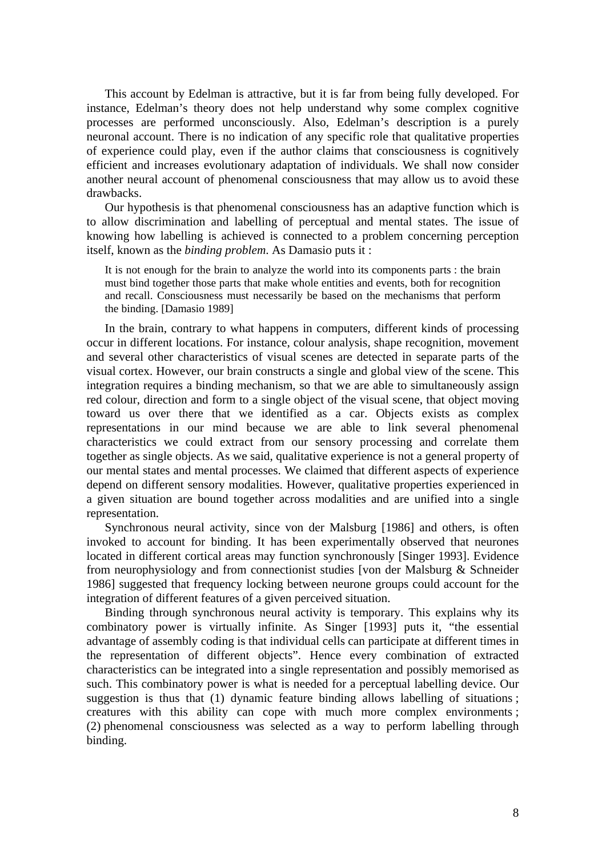This account by Edelman is attractive, but it is far from being fully developed. For instance, Edelman's theory does not help understand why some complex cognitive processes are performed unconsciously. Also, Edelman's description is a purely neuronal account. There is no indication of any specific role that qualitative properties of experience could play, even if the author claims that consciousness is cognitively efficient and increases evolutionary adaptation of individuals. We shall now consider another neural account of phenomenal consciousness that may allow us to avoid these drawbacks.

Our hypothesis is that phenomenal consciousness has an adaptive function which is to allow discrimination and labelling of perceptual and mental states. The issue of knowing how labelling is achieved is connected to a problem concerning perception itself, known as the *binding problem*. As Damasio puts it :

It is not enough for the brain to analyze the world into its components parts : the brain must bind together those parts that make whole entities and events, both for recognition and recall. Consciousness must necessarily be based on the mechanisms that perform the binding. [Damasio 1989]

 In the brain, contrary to what happens in computers, different kinds of processing occur in different locations. For instance, colour analysis, shape recognition, movement and several other characteristics of visual scenes are detected in separate parts of the visual cortex. However, our brain constructs a single and global view of the scene. This integration requires a binding mechanism, so that we are able to simultaneously assign red colour, direction and form to a single object of the visual scene, that object moving toward us over there that we identified as a car. Objects exists as complex representations in our mind because we are able to link several phenomenal characteristics we could extract from our sensory processing and correlate them together as single objects. As we said, qualitative experience is not a general property of our mental states and mental processes. We claimed that different aspects of experience depend on different sensory modalities. However, qualitative properties experienced in a given situation are bound together across modalities and are unified into a single representation.

 Synchronous neural activity, since von der Malsburg [1986] and others, is often invoked to account for binding. It has been experimentally observed that neurones located in different cortical areas may function synchronously [Singer 1993]. Evidence from neurophysiology and from connectionist studies [von der Malsburg & Schneider 1986] suggested that frequency locking between neurone groups could account for the integration of different features of a given perceived situation.

 Binding through synchronous neural activity is temporary. This explains why its combinatory power is virtually infinite. As Singer [1993] puts it, "the essential advantage of assembly coding is that individual cells can participate at different times in the representation of different objects". Hence every combination of extracted characteristics can be integrated into a single representation and possibly memorised as such. This combinatory power is what is needed for a perceptual labelling device. Our suggestion is thus that (1) dynamic feature binding allows labelling of situations ; creatures with this ability can cope with much more complex environments ; (2) phenomenal consciousness was selected as a way to perform labelling through binding.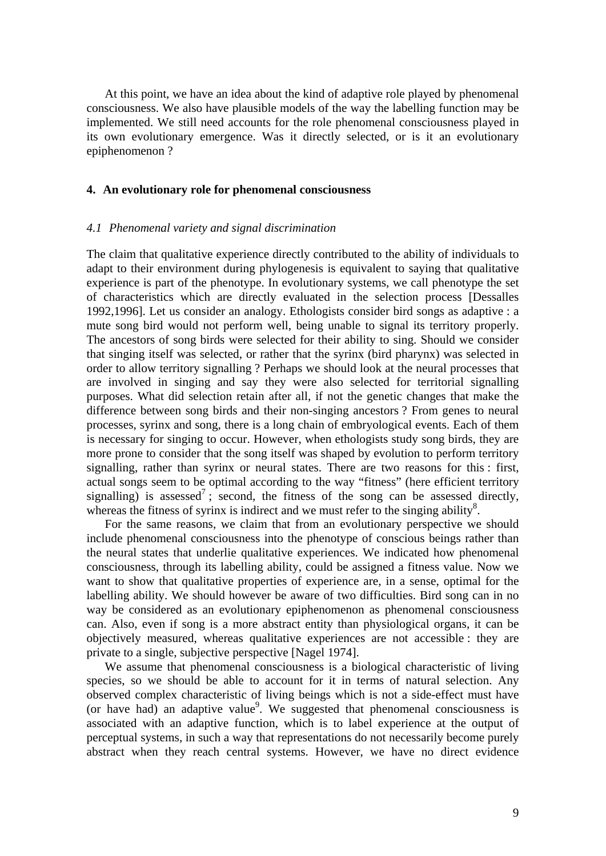At this point, we have an idea about the kind of adaptive role played by phenomenal consciousness. We also have plausible models of the way the labelling function may be implemented. We still need accounts for the role phenomenal consciousness played in its own evolutionary emergence. Was it directly selected, or is it an evolutionary epiphenomenon ?

# **4. An evolutionary role for phenomenal consciousness**

#### *4.1 Phenomenal variety and signal discrimination*

The claim that qualitative experience directly contributed to the ability of individuals to adapt to their environment during phylogenesis is equivalent to saying that qualitative experience is part of the phenotype. In evolutionary systems, we call phenotype the set of characteristics which are directly evaluated in the selection process [Dessalles 1992,1996]. Let us consider an analogy. Ethologists consider bird songs as adaptive : a mute song bird would not perform well, being unable to signal its territory properly. The ancestors of song birds were selected for their ability to sing. Should we consider that singing itself was selected, or rather that the syrinx (bird pharynx) was selected in order to allow territory signalling ? Perhaps we should look at the neural processes that are involved in singing and say they were also selected for territorial signalling purposes. What did selection retain after all, if not the genetic changes that make the difference between song birds and their non-singing ancestors ? From genes to neural processes, syrinx and song, there is a long chain of embryological events. Each of them is necessary for singing to occur. However, when ethologists study song birds, they are more prone to consider that the song itself was shaped by evolution to perform territory signalling, rather than syrinx or neural states. There are two reasons for this : first, actual songs seem to be optimal according to the way "fitness" (here efficient territory signalling) is assessed<sup>7</sup>; second, the fitness of the song can be assessed directly, whereas the fitness of syrinx is indirect and we must refer to the singing ability $8$ .

 For the same reasons, we claim that from an evolutionary perspective we should include phenomenal consciousness into the phenotype of conscious beings rather than the neural states that underlie qualitative experiences. We indicated how phenomenal consciousness, through its labelling ability, could be assigned a fitness value. Now we want to show that qualitative properties of experience are, in a sense, optimal for the labelling ability. We should however be aware of two difficulties. Bird song can in no way be considered as an evolutionary epiphenomenon as phenomenal consciousness can. Also, even if song is a more abstract entity than physiological organs, it can be objectively measured, whereas qualitative experiences are not accessible : they are private to a single, subjective perspective [Nagel 1974].

 We assume that phenomenal consciousness is a biological characteristic of living species, so we should be able to account for it in terms of natural selection. Any observed complex characteristic of living beings which is not a side-effect must have (or have had) an adaptive value<sup>9</sup>. We suggested that phenomenal consciousness is associated with an adaptive function, which is to label experience at the output of perceptual systems, in such a way that representations do not necessarily become purely abstract when they reach central systems. However, we have no direct evidence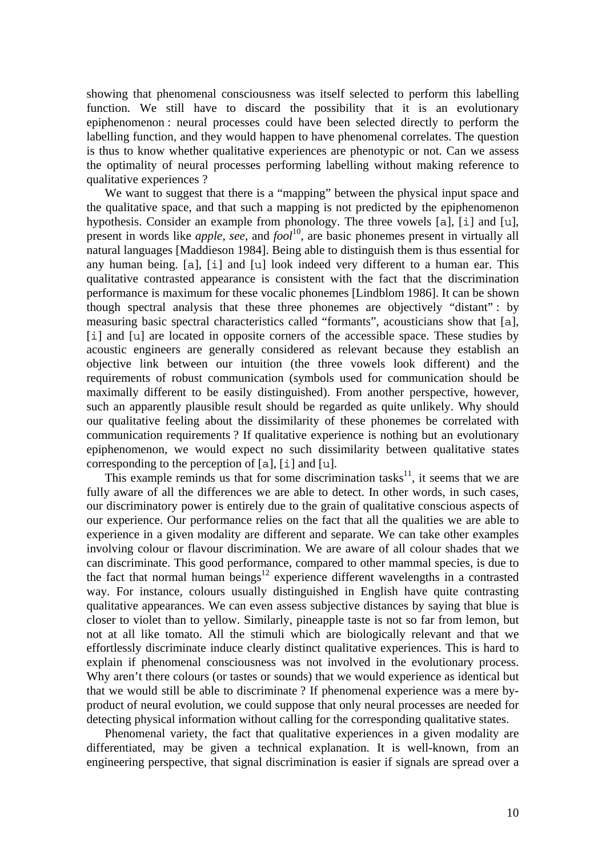showing that phenomenal consciousness was itself selected to perform this labelling function. We still have to discard the possibility that it is an evolutionary epiphenomenon : neural processes could have been selected directly to perform the labelling function, and they would happen to have phenomenal correlates. The question is thus to know whether qualitative experiences are phenotypic or not. Can we assess the optimality of neural processes performing labelling without making reference to qualitative experiences ?

 We want to suggest that there is a "mapping" between the physical input space and the qualitative space, and that such a mapping is not predicted by the epiphenomenon hypothesis. Consider an example from phonology. The three vowels [a], [i] and [u], present in words like *apple*, *see*, and *fool*10, are basic phonemes present in virtually all natural languages [Maddieson 1984]. Being able to distinguish them is thus essential for any human being. [a], [i] and [u] look indeed very different to a human ear. This qualitative contrasted appearance is consistent with the fact that the discrimination performance is maximum for these vocalic phonemes [Lindblom 1986]. It can be shown though spectral analysis that these three phonemes are objectively "distant" : by measuring basic spectral characteristics called "formants", acousticians show that [a], [i] and [u] are located in opposite corners of the accessible space. These studies by acoustic engineers are generally considered as relevant because they establish an objective link between our intuition (the three vowels look different) and the requirements of robust communication (symbols used for communication should be maximally different to be easily distinguished). From another perspective, however, such an apparently plausible result should be regarded as quite unlikely. Why should our qualitative feeling about the dissimilarity of these phonemes be correlated with communication requirements ? If qualitative experience is nothing but an evolutionary epiphenomenon, we would expect no such dissimilarity between qualitative states corresponding to the perception of [a], [i] and [u].

This example reminds us that for some discrimination tasks<sup>11</sup>, it seems that we are fully aware of all the differences we are able to detect. In other words, in such cases, our discriminatory power is entirely due to the grain of qualitative conscious aspects of our experience. Our performance relies on the fact that all the qualities we are able to experience in a given modality are different and separate. We can take other examples involving colour or flavour discrimination. We are aware of all colour shades that we can discriminate. This good performance, compared to other mammal species, is due to the fact that normal human beings $12$  experience different wavelengths in a contrasted way. For instance, colours usually distinguished in English have quite contrasting qualitative appearances. We can even assess subjective distances by saying that blue is closer to violet than to yellow. Similarly, pineapple taste is not so far from lemon, but not at all like tomato. All the stimuli which are biologically relevant and that we effortlessly discriminate induce clearly distinct qualitative experiences. This is hard to explain if phenomenal consciousness was not involved in the evolutionary process. Why aren't there colours (or tastes or sounds) that we would experience as identical but that we would still be able to discriminate ? If phenomenal experience was a mere byproduct of neural evolution, we could suppose that only neural processes are needed for detecting physical information without calling for the corresponding qualitative states.

 Phenomenal variety, the fact that qualitative experiences in a given modality are differentiated, may be given a technical explanation. It is well-known, from an engineering perspective, that signal discrimination is easier if signals are spread over a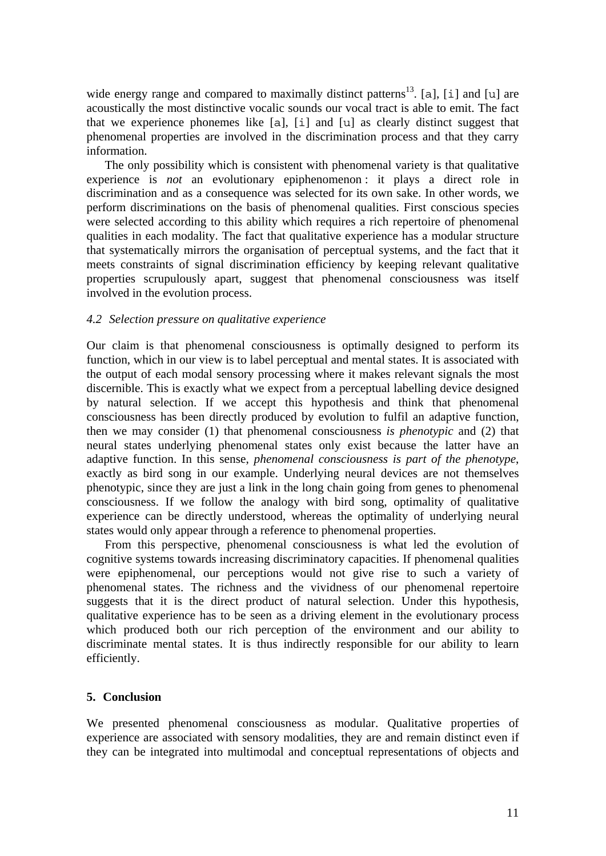wide energy range and compared to maximally distinct patterns<sup>13</sup>. [a], [i] and [u] are acoustically the most distinctive vocalic sounds our vocal tract is able to emit. The fact that we experience phonemes like [a], [i] and [u] as clearly distinct suggest that phenomenal properties are involved in the discrimination process and that they carry information.

 The only possibility which is consistent with phenomenal variety is that qualitative experience is *not* an evolutionary epiphenomenon : it plays a direct role in discrimination and as a consequence was selected for its own sake. In other words, we perform discriminations on the basis of phenomenal qualities. First conscious species were selected according to this ability which requires a rich repertoire of phenomenal qualities in each modality. The fact that qualitative experience has a modular structure that systematically mirrors the organisation of perceptual systems, and the fact that it meets constraints of signal discrimination efficiency by keeping relevant qualitative properties scrupulously apart, suggest that phenomenal consciousness was itself involved in the evolution process.

# *4.2 Selection pressure on qualitative experience*

Our claim is that phenomenal consciousness is optimally designed to perform its function, which in our view is to label perceptual and mental states. It is associated with the output of each modal sensory processing where it makes relevant signals the most discernible. This is exactly what we expect from a perceptual labelling device designed by natural selection. If we accept this hypothesis and think that phenomenal consciousness has been directly produced by evolution to fulfil an adaptive function, then we may consider (1) that phenomenal consciousness *is phenotypic* and (2) that neural states underlying phenomenal states only exist because the latter have an adaptive function. In this sense, *phenomenal consciousness is part of the phenotype*, exactly as bird song in our example. Underlying neural devices are not themselves phenotypic, since they are just a link in the long chain going from genes to phenomenal consciousness. If we follow the analogy with bird song, optimality of qualitative experience can be directly understood, whereas the optimality of underlying neural states would only appear through a reference to phenomenal properties.

 From this perspective, phenomenal consciousness is what led the evolution of cognitive systems towards increasing discriminatory capacities. If phenomenal qualities were epiphenomenal, our perceptions would not give rise to such a variety of phenomenal states. The richness and the vividness of our phenomenal repertoire suggests that it is the direct product of natural selection. Under this hypothesis, qualitative experience has to be seen as a driving element in the evolutionary process which produced both our rich perception of the environment and our ability to discriminate mental states. It is thus indirectly responsible for our ability to learn efficiently.

## **5. Conclusion**

We presented phenomenal consciousness as modular. Qualitative properties of experience are associated with sensory modalities, they are and remain distinct even if they can be integrated into multimodal and conceptual representations of objects and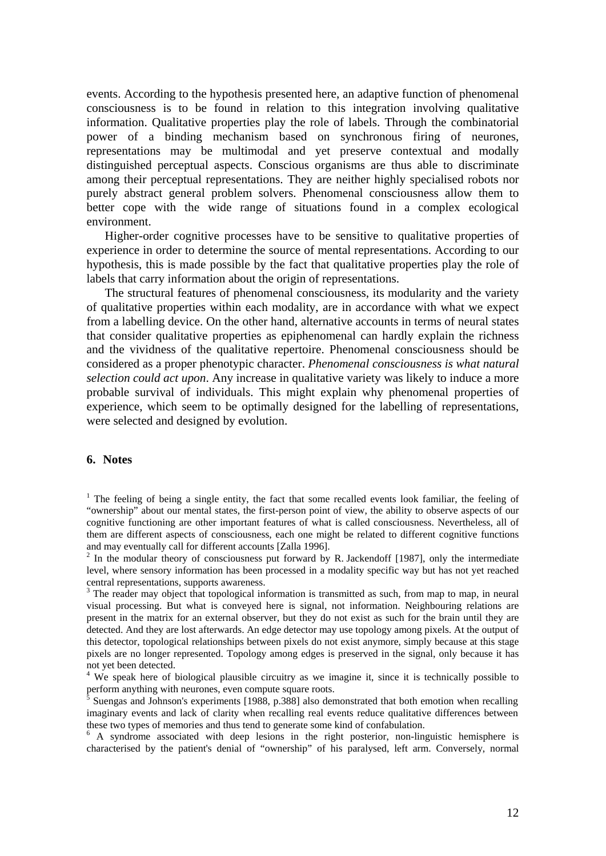events. According to the hypothesis presented here, an adaptive function of phenomenal consciousness is to be found in relation to this integration involving qualitative information. Qualitative properties play the role of labels. Through the combinatorial power of a binding mechanism based on synchronous firing of neurones, representations may be multimodal and yet preserve contextual and modally distinguished perceptual aspects. Conscious organisms are thus able to discriminate among their perceptual representations. They are neither highly specialised robots nor purely abstract general problem solvers. Phenomenal consciousness allow them to better cope with the wide range of situations found in a complex ecological environment.

 Higher-order cognitive processes have to be sensitive to qualitative properties of experience in order to determine the source of mental representations. According to our hypothesis, this is made possible by the fact that qualitative properties play the role of labels that carry information about the origin of representations.

 The structural features of phenomenal consciousness, its modularity and the variety of qualitative properties within each modality, are in accordance with what we expect from a labelling device. On the other hand, alternative accounts in terms of neural states that consider qualitative properties as epiphenomenal can hardly explain the richness and the vividness of the qualitative repertoire. Phenomenal consciousness should be considered as a proper phenotypic character. *Phenomenal consciousness is what natural selection could act upon*. Any increase in qualitative variety was likely to induce a more probable survival of individuals. This might explain why phenomenal properties of experience, which seem to be optimally designed for the labelling of representations, were selected and designed by evolution.

## **6. Notes**

<sup>1</sup> The feeling of being a single entity, the fact that some recalled events look familiar, the feeling of "ownership" about our mental states, the first-person point of view, the ability to observe aspects of our cognitive functioning are other important features of what is called consciousness. Nevertheless, all of them are different aspects of consciousness, each one might be related to different cognitive functions and may eventually call for different accounts [Zalla 1996].

 $2$  In the modular theory of consciousness put forward by R. Jackendoff [1987], only the intermediate level, where sensory information has been processed in a modality specific way but has not yet reached central representations, supports awareness.

<sup>3</sup> The reader may object that topological information is transmitted as such, from map to map, in neural visual processing. But what is conveyed here is signal, not information. Neighbouring relations are present in the matrix for an external observer, but they do not exist as such for the brain until they are detected. And they are lost afterwards. An edge detector may use topology among pixels. At the output of this detector, topological relationships between pixels do not exist anymore, simply because at this stage pixels are no longer represented. Topology among edges is preserved in the signal, only because it has not yet been detected.

<sup>4</sup> We speak here of biological plausible circuitry as we imagine it, since it is technically possible to perform anything with neurones, even compute square roots.<br><sup>5</sup> Suengas and Johnson's experiments [1988, p.388] also demonstrated that both emotion when recalling

imaginary events and lack of clarity when recalling real events reduce qualitative differences between these two types of memories and thus tend to generate some kind of confabulation.

<sup>6</sup> A syndrome associated with deep lesions in the right posterior, non-linguistic hemisphere is characterised by the patient's denial of "ownership" of his paralysed, left arm. Conversely, normal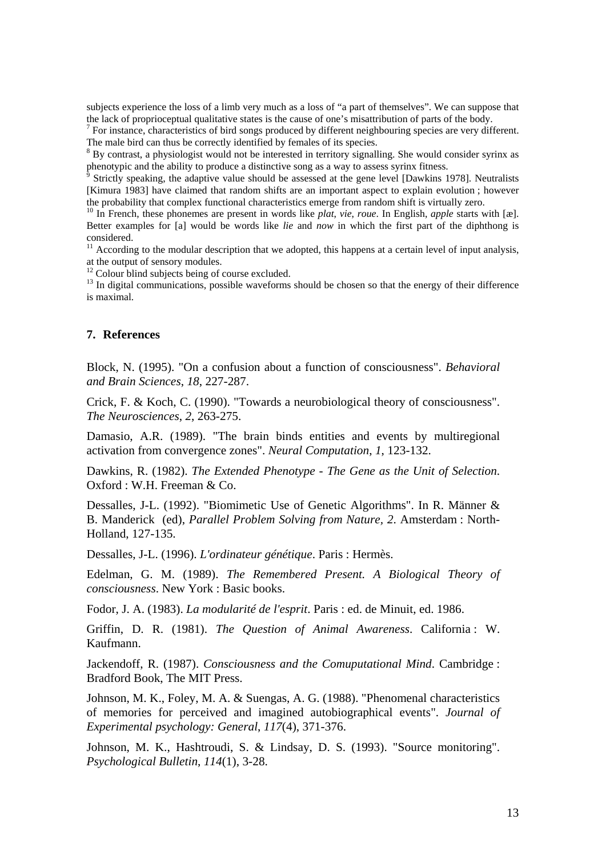subjects experience the loss of a limb very much as a loss of "a part of themselves". We can suppose that the lack of proprioceptual qualitative states is the cause of one's misattribution of parts of the body. 7

<sup>7</sup> For instance, characteristics of bird songs produced by different neighbouring species are very different. The male bird can thus be correctly identified by females of its species.

<sup>8</sup> By contrast, a physiologist would not be interested in territory signalling. She would consider syrinx as phenotypic and the ability to produce a distinctive song as a way to assess syrinx fitness.

 Strictly speaking, the adaptive value should be assessed at the gene level [Dawkins 1978]. Neutralists [Kimura 1983] have claimed that random shifts are an important aspect to explain evolution ; however the probability that complex functional characteristics emerge from random shift is virtually zero.<br><sup>10</sup> In French, these phonemes are present in words like *plat, vie, roue*. In English, *apple* starts with [æ].

Better examples for [a] would be words like *lie* and *now* in which the first part of the diphthong is considered.

 $11$  According to the modular description that we adopted, this happens at a certain level of input analysis, at the output of sensory modules.

 $12$  Colour blind subjects being of course excluded.

 $13$  In digital communications, possible waveforms should be chosen so that the energy of their difference is maximal.

#### **7. References**

Block, N. (1995). "On a confusion about a function of consciousness". *Behavioral and Brain Sciences*, *18*, 227-287.

Crick, F. & Koch, C. (1990). "Towards a neurobiological theory of consciousness". *The Neurosciences*, *2*, 263-275.

Damasio, A.R. (1989). "The brain binds entities and events by multiregional activation from convergence zones". *Neural Computation*, *1*, 123-132.

Dawkins, R. (1982). *The Extended Phenotype - The Gene as the Unit of Selection*. Oxford : W.H. Freeman & Co.

Dessalles, J-L. (1992). "Biomimetic Use of Genetic Algorithms". In R. Männer & B. Manderick (ed), *Parallel Problem Solving from Nature, 2*. Amsterdam : North-Holland, 127-135.

Dessalles, J-L. (1996). *L'ordinateur génétique*. Paris : Hermès.

Edelman, G. M. (1989). *The Remembered Present. A Biological Theory of consciousness*. New York : Basic books.

Fodor, J. A. (1983). *La modularité de l'esprit*. Paris : ed. de Minuit, ed. 1986.

Griffin, D. R. (1981). *The Question of Animal Awareness*. California : W. Kaufmann.

Jackendoff, R. (1987). *Consciousness and the Comuputational Mind*. Cambridge : Bradford Book, The MIT Press.

Johnson, M. K., Foley, M. A. & Suengas, A. G. (1988). "Phenomenal characteristics of memories for perceived and imagined autobiographical events". *Journal of Experimental psychology: General*, *117*(4), 371-376.

Johnson, M. K., Hashtroudi, S. & Lindsay, D. S. (1993). "Source monitoring". *Psychological Bulletin*, *114*(1), 3-28.